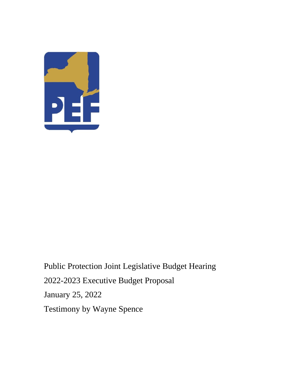

Public Protection Joint Legislative Budget Hearing 2022-2023 Executive Budget Proposal January 25, 2022 Testimony by Wayne Spence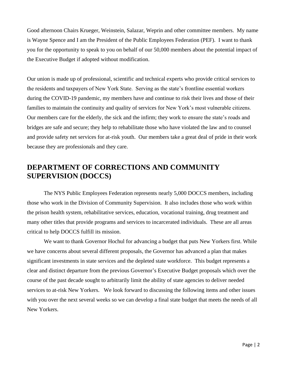Good afternoon Chairs Krueger, Weinstein, Salazar, Weprin and other committee members. My name is Wayne Spence and I am the President of the Public Employees Federation (PEF). I want to thank you for the opportunity to speak to you on behalf of our 50,000 members about the potential impact of the Executive Budget if adopted without modification.

Our union is made up of professional, scientific and technical experts who provide critical services to the residents and taxpayers of New York State. Serving as the state's frontline essential workers during the COVID-19 pandemic, my members have and continue to risk their lives and those of their families to maintain the continuity and quality of services for New York's most vulnerable citizens. Our members care for the elderly, the sick and the infirm; they work to ensure the state's roads and bridges are safe and secure; they help to rehabilitate those who have violated the law and to counsel and provide safety net services for at-risk youth. Our members take a great deal of pride in their work because they are professionals and they care.

## **DEPARTMENT OF CORRECTIONS AND COMMUNITY SUPERVISION (DOCCS)**

The NYS Public Employees Federation represents nearly 5,000 DOCCS members, including those who work in the Division of Community Supervision. It also includes those who work within the prison health system, rehabilitative services, education, vocational training, drug treatment and many other titles that provide programs and services to incarcerated individuals. These are all areas critical to help DOCCS fulfill its mission.

We want to thank Governor Hochul for advancing a budget that puts New Yorkers first. While we have concerns about several different proposals, the Governor has advanced a plan that makes significant investments in state services and the depleted state workforce. This budget represents a clear and distinct departure from the previous Governor's Executive Budget proposals which over the course of the past decade sought to arbitrarily limit the ability of state agencies to deliver needed services to at-risk New Yorkers. We look forward to discussing the following items and other issues with you over the next several weeks so we can develop a final state budget that meets the needs of all New Yorkers.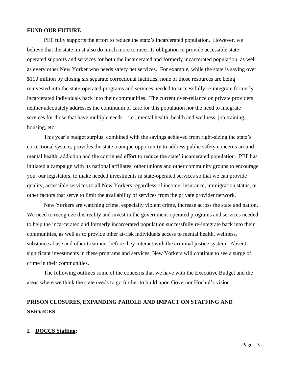### **FUND OUR FUTURE**

PEF fully supports the effort to reduce the state's incarcerated population. However, we believe that the state must also do much more to meet its obligation to provide accessible stateoperated supports and services for both the incarcerated and formerly incarcerated population, as well as every other New Yorker who needs safety net services. For example, while the state is saving over \$110 million by closing six separate correctional facilities, none of those resources are being reinvested into the state-operated programs and services needed to successfully re-integrate formerly incarcerated individuals back into their communities. The current over-reliance on private providers neither adequately addresses the continuum of care for this population nor the need to integrate services for those that have multiple needs – i.e., mental health, health and wellness, job training, housing, etc.

This year's budget surplus, combined with the savings achieved from right-sizing the state's correctional system, provides the state a unique opportunity to address public safety concerns around mental health, addiction and the continued effort to reduce the state' incarcerated population. PEF has initiated a campaign with its national affiliates, other unions and other community groups to encourage you, our legislators, to make needed investments in state-operated services so that we can provide quality, accessible services to all New Yorkers regardless of income, insurance, immigration status, or other factors that serve to limit the availability of services from the private provider network.

New Yorkers are watching crime, especially violent crime, increase across the state and nation. We need to recognize this reality and invest in the government-operated programs and services needed to help the incarcerated and formerly incarcerated population successfully re-integrate back into their communities, as well as to provide other at-risk individuals access to mental health, wellness, substance abuse and other treatment before they interact with the criminal justice system. Absent significant investments in these programs and services, New Yorkers will continue to see a surge of crime in their communities.

The following outlines some of the concerns that we have with the Executive Budget and the areas where we think the state needs to go further to build upon Governor Hochul's vision.

## **PRISON CLOSURES, EXPANDING PAROLE AND IMPACT ON STAFFING AND SERVICES**

#### **I. DOCCS Staffing:**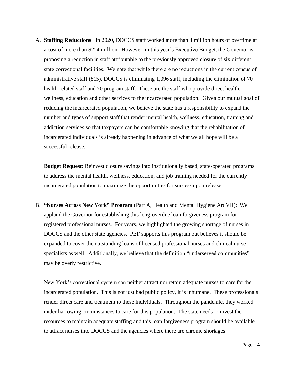A. **Staffing Reductions**: In 2020, DOCCS staff worked more than 4 million hours of overtime at a cost of more than \$224 million. However, in this year's Executive Budget, the Governor is proposing a reduction in staff attributable to the previously approved closure of six different state correctional facilities. We note that while there are no reductions in the current census of administrative staff (815), DOCCS is eliminating 1,096 staff, including the elimination of 70 health-related staff and 70 program staff. These are the staff who provide direct health, wellness, education and other services to the incarcerated population. Given our mutual goal of reducing the incarcerated population, we believe the state has a responsibility to expand the number and types of support staff that render mental health, wellness, education, training and addiction services so that taxpayers can be comfortable knowing that the rehabilitation of incarcerated individuals is already happening in advance of what we all hope will be a successful release.

**Budget Request**: Reinvest closure savings into institutionally based, state-operated programs to address the mental health, wellness, education, and job training needed for the currently incarcerated population to maximize the opportunities for success upon release.

B. **"Nurses Across New York" Program** (Part A, Health and Mental Hygiene Art VII): We applaud the Governor for establishing this long-overdue loan forgiveness program for registered professional nurses. For years, we highlighted the growing shortage of nurses in DOCCS and the other state agencies. PEF supports this program but believes it should be expanded to cover the outstanding loans of licensed professional nurses and clinical nurse specialists as well. Additionally, we believe that the definition "underserved communities" may be overly restrictive.

New York's correctional system can neither attract nor retain adequate nurses to care for the incarcerated population. This is not just bad public policy, it is inhumane. These professionals render direct care and treatment to these individuals. Throughout the pandemic, they worked under harrowing circumstances to care for this population. The state needs to invest the resources to maintain adequate staffing and this loan forgiveness program should be available to attract nurses into DOCCS and the agencies where there are chronic shortages.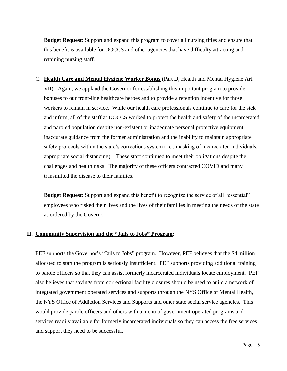**Budget Request**: Support and expand this program to cover all nursing titles and ensure that this benefit is available for DOCCS and other agencies that have difficulty attracting and retaining nursing staff.

C. **Health Care and Mental Hygiene Worker Bonus** (Part D, Health and Mental Hygiene Art. VII): Again, we applaud the Governor for establishing this important program to provide bonuses to our front-line healthcare heroes and to provide a retention incentive for those workers to remain in service. While our health care professionals continue to care for the sick and infirm, all of the staff at DOCCS worked to protect the health and safety of the incarcerated and paroled population despite non-existent or inadequate personal protective equipment, inaccurate guidance from the former administration and the inability to maintain appropriate safety protocols within the state's corrections system (i.e., masking of incarcerated individuals, appropriate social distancing). These staff continued to meet their obligations despite the challenges and health risks. The majority of these officers contracted COVID and many transmitted the disease to their families.

**Budget Request**: Support and expand this benefit to recognize the service of all "essential" employees who risked their lives and the lives of their families in meeting the needs of the state as ordered by the Governor.

#### **II. Community Supervision and the "Jails to Jobs" Program:**

PEF supports the Governor's "Jails to Jobs" program. However, PEF believes that the \$4 million allocated to start the program is seriously insufficient. PEF supports providing additional training to parole officers so that they can assist formerly incarcerated individuals locate employment. PEF also believes that savings from correctional facility closures should be used to build a network of integrated government operated services and supports through the NYS Office of Mental Health, the NYS Office of Addiction Services and Supports and other state social service agencies. This would provide parole officers and others with a menu of government-operated programs and services readily available for formerly incarcerated individuals so they can access the free services and support they need to be successful.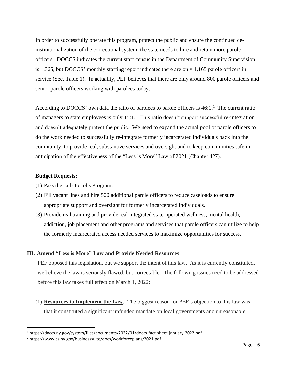In order to successfully operate this program, protect the public and ensure the continued deinstitutionalization of the correctional system, the state needs to hire and retain more parole officers. DOCCS indicates the current staff census in the Department of Community Supervision is 1,365, but DOCCS' monthly staffing report indicates there are only 1,165 parole officers in service (See, Table 1). In actuality, PEF believes that there are only around 800 parole officers and senior parole officers working with parolees today.

According to DOCCS' own data the ratio of parolees to parole officers is  $46:1<sup>1</sup>$ . The current ratio of managers to state employees is only  $15:1.^2$  This ratio doesn't support successful re-integration and doesn't adequately protect the public. We need to expand the actual pool of parole officers to do the work needed to successfully re-integrate formerly incarcerated individuals back into the community, to provide real, substantive services and oversight and to keep communities safe in anticipation of the effectiveness of the "Less is More" Law of 2021 (Chapter 427).

### **Budget Requests:**

- (1) Pass the Jails to Jobs Program.
- (2) Fill vacant lines and hire 500 additional parole officers to reduce caseloads to ensure appropriate support and oversight for formerly incarcerated individuals.
- (3) Provide real training and provide real integrated state-operated wellness, mental health, addiction, job placement and other programs and services that parole officers can utilize to help the formerly incarcerated access needed services to maximize opportunities for success.

## **III. Amend "Less is More" Law and Provide Needed Resources**:

PEF opposed this legislation, but we support the intent of this law. As it is currently constituted, we believe the law is seriously flawed, but correctable. The following issues need to be addressed before this law takes full effect on March 1, 2022:

(1) **Resources to Implement the Law**: The biggest reason for PEF's objection to this law was that it constituted a significant unfunded mandate on local governments and unreasonable

<sup>1</sup> https://doccs.ny.gov/system/files/documents/2022/01/doccs-fact-sheet-january-2022.pdf

<sup>2</sup> https://www.cs.ny.gov/businesssuite/docs/workforceplans/2021.pdf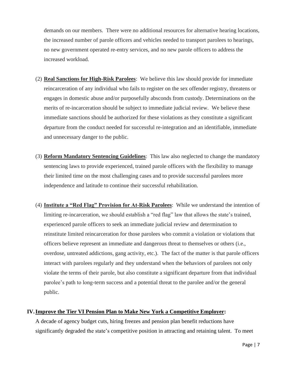demands on our members. There were no additional resources for alternative hearing locations, the increased number of parole officers and vehicles needed to transport parolees to hearings, no new government operated re-entry services, and no new parole officers to address the increased workload.

- (2) **Real Sanctions for High-Risk Parolees**: We believe this law should provide for immediate reincarceration of any individual who fails to register on the sex offender registry, threatens or engages in domestic abuse and/or purposefully absconds from custody. Determinations on the merits of re-incarceration should be subject to immediate judicial review. We believe these immediate sanctions should be authorized for these violations as they constitute a significant departure from the conduct needed for successful re-integration and an identifiable, immediate and unnecessary danger to the public.
- (3) **Reform Mandatory Sentencing Guidelines**: This law also neglected to change the mandatory sentencing laws to provide experienced, trained parole officers with the flexibility to manage their limited time on the most challenging cases and to provide successful parolees more independence and latitude to continue their successful rehabilitation.
- (4) **Institute a "Red Flag" Provision for At-Risk Parolees**: While we understand the intention of limiting re-incarceration, we should establish a "red flag" law that allows the state's trained, experienced parole officers to seek an immediate judicial review and determination to reinstitute limited reincarceration for those parolees who commit a violation or violations that officers believe represent an immediate and dangerous threat to themselves or others (i.e., overdose, untreated addictions, gang activity, etc.). The fact of the matter is that parole officers interact with parolees regularly and they understand when the behaviors of parolees not only violate the terms of their parole, but also constitute a significant departure from that individual parolee's path to long-term success and a potential threat to the parolee and/or the general public.

#### **IV.Improve the Tier VI Pension Plan to Make New York a Competitive Employer:**

A decade of agency budget cuts, hiring freezes and pension plan benefit reductions have significantly degraded the state's competitive position in attracting and retaining talent. To meet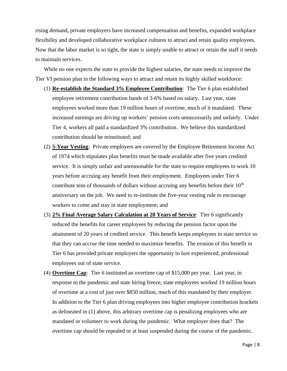rising demand, private employers have increased compensation and benefits, expanded workplace flexibility and developed collaborative workplace cultures to attract and retain quality employees. Now that the labor market is so tight, the state is simply unable to attract or retain the staff it needs to maintain services.

While no one expects the state to provide the highest salaries, the state needs to improve the Tier VI pension plan in the following ways to attract and retain its highly skilled workforce:

- (1) **Re-establish the Standard 3% Employee Contribution**: The Tier 6 plan established employee retirement contribution bands of 3-6% based on salary. Last year, state employees worked more than 19 million hours of overtime, much of it mandated. These increased earnings are driving up workers' pension costs unnecessarily and unfairly. Under Tier 4, workers all paid a standardized 3% contribution. We believe this standardized contribution should be reinstituted; and
- (2) **5-Year Vesting**: Private employers are covered by the Employee Retirement Income Act of 1974 which stipulates plan benefits must be made available after five years credited service. It is simply unfair and unreasonable for the state to require employees to work 10 years before accruing any benefit from their employment. Employees under Tier 6 contribute tens of thousands of dollars without accruing any benefits before their  $10<sup>th</sup>$ anniversary on the job. We need to re-institute the five-year vesting rule to encourage workers to come and stay in state employment; and
- (3) **2% Final Average Salary Calculation at 20 Years of Service**: Tier 6 significantly reduced the benefits for career employees by reducing the pension factor upon the attainment of 20 years of credited service. This benefit keeps employees in state service so that they can accrue the time needed to maximize benefits. The erosion of this benefit in Tier 6 has provided private employers the opportunity to lure experienced, professional employees out of state service.
- (4) **Overtime Cap**: Tier 6 instituted an overtime cap of \$15,000 per year. Last year, in response to the pandemic and state hiring freeze, state employees worked 19 million hours of overtime at a cost of just over \$850 million, much of this mandated by their employer. In addition to the Tier 6 plan driving employees into higher employee contribution brackets as delineated in (1) above, this arbitrary overtime cap is penalizing employees who are mandated or volunteer to work during the pandemic. What employer does that? The overtime cap should be repealed or at least suspended during the course of the pandemic.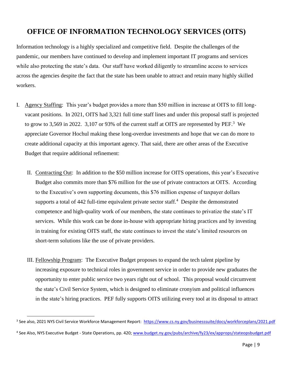# **OFFICE OF INFORMATION TECHNOLOGY SERVICES (OITS)**

Information technology is a highly specialized and competitive field. Despite the challenges of the pandemic, our members have continued to develop and implement important IT programs and services while also protecting the state's data. Our staff have worked diligently to streamline access to services across the agencies despite the fact that the state has been unable to attract and retain many highly skilled workers.

- I. Agency Staffing: This year's budget provides a more than \$50 million in increase at OITS to fill longvacant positions. In 2021, OITS had 3,321 full time staff lines and under this proposal staff is projected to grow to 3,569 in 2022. 3,107 or 93% of the current staff at OITS are represented by PEF.<sup>3</sup> We appreciate Governor Hochul making these long-overdue investments and hope that we can do more to create additional capacity at this important agency. That said, there are other areas of the Executive Budget that require additional refinement:
	- II. Contracting Out: In addition to the \$50 million increase for OITS operations, this year's Executive Budget also commits more than \$76 million for the use of private contractors at OITS. According to the Executive's own supporting documents, this \$76 million expense of taxpayer dollars supports a total of  $442$  full-time equivalent private sector staff.<sup>4</sup> Despite the demonstrated competence and high-quality work of our members, the state continues to privatize the state's IT services. While this work can be done in-house with appropriate hiring practices and by investing in training for existing OITS staff, the state continues to invest the state's limited resources on short-term solutions like the use of private providers.
	- III. Fellowship Program: The Executive Budget proposes to expand the tech talent pipeline by increasing exposure to technical roles in government service in order to provide new graduates the opportunity to enter public service two years right out of school. This proposal would circumvent the state's Civil Service System, which is designed to eliminate cronyism and political influences in the state's hiring practices. PEF fully supports OITS utilizing every tool at its disposal to attract

<sup>&</sup>lt;sup>3</sup> See also, 2021 NYS Civil Service Workforce Management Report: <https://www.cs.ny.gov/businesssuite/docs/workforceplans/2021.pdf>

<sup>&</sup>lt;sup>4</sup> See Also, NYS Executive Budget - State Operations, pp. 420; [www.budget.ny.gov/pubs/archive/fy23/ex/approps/stateopsbudget.pdf](http://www.budget.ny.gov/pubs/archive/fy23/ex/approps/stateopsbudget.pdf)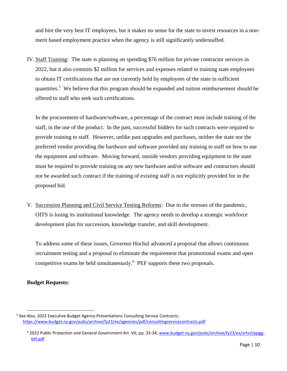and hire the very best IT employees, but it makes no sense for the state to invest resources in a nonmerit based employment practice when the agency is still significantly understaffed.

IV. Staff Training: The state is planning on spending \$76 million for private contractor services in 2022, but it also commits \$2 million for services and expenses related to training state employees to obtain IT certifications that are not currently held by employees of the state in sufficient quantities.<sup>5</sup> We believe that this program should be expanded and tuition reimbursement should be offered to staff who seek such certifications.

In the procurement of hardware/software, a percentage of the contract must include training of the staff, in the use of the product. In the past, successful bidders for such contracts were required to provide training to staff. However, unlike past upgrades and purchases, neither the state nor the preferred vendor providing the hardware and software provided any training to staff on how to use the equipment and software. Moving forward, outside vendors providing equipment to the state must be required to provide training on any new hardware and/or software and contractors should not be awarded such contract if the training of existing staff is not explicitly provided for in the proposed bid.

V. Succession Planning and Civil Service Testing Reforms: Due to the stresses of the pandemic, OITS is losing its institutional knowledge. The agency needs to develop a strategic workforce development plan for succession, knowledge transfer, and skill development.

To address some of these issues, Governor Hochul advanced a proposal that allows continuous recruitment testing and a proposal to eliminate the requirement that promotional exams and open competitive exams be held simultaneously.<sup>6</sup> PEF supports these two proposals.

## **Budget Requests:**

<sup>&</sup>lt;sup>5</sup> See Also, 2022 Executive Budget Agency Presentations Consulting Service Contracts; <https://www.budget.ny.gov/pubs/archive/fy23/ex/agencies/pdf/consultingservicecontracts.pdf>

<sup>6</sup> 2022 Public Protection and General Government Art. VII; pp. 33-34[; www.budget.ny.gov/pubs/archive/fy23/ex/artvii/ppgg](http://www.budget.ny.gov/pubs/archive/fy23/ex/artvii/ppgg-bill.pdf)[bill.pdf](http://www.budget.ny.gov/pubs/archive/fy23/ex/artvii/ppgg-bill.pdf)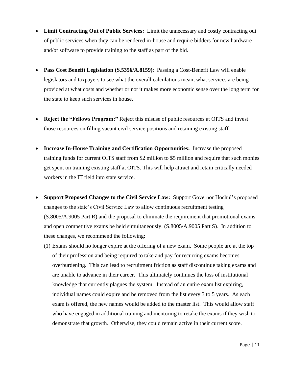- **Limit Contracting Out of Public Services:** Limit the unnecessary and costly contracting out of public services when they can be rendered in-house and require bidders for new hardware and/or software to provide training to the staff as part of the bid.
- **Pass Cost Benefit Legislation (S.5356/A.8159)**: Passing a Cost-Benefit Law will enable legislators and taxpayers to see what the overall calculations mean, what services are being provided at what costs and whether or not it makes more economic sense over the long term for the state to keep such services in house.
- **Reject the "Fellows Program:"** Reject this misuse of public resources at OITS and invest those resources on filling vacant civil service positions and retaining existing staff.
- **Increase In-House Training and Certification Opportunities:** Increase the proposed training funds for current OITS staff from \$2 million to \$5 million and require that such monies get spent on training existing staff at OITS. This will help attract and retain critically needed workers in the IT field into state service.
- **Support Proposed Changes to the Civil Service Law:** Support Governor Hochul's proposed changes to the state's Civil Service Law to allow continuous recruitment testing (S.8005/A.9005 Part R) and the proposal to eliminate the requirement that promotional exams and open competitive exams be held simultaneously. (S.8005/A.9005 Part S). In addition to these changes, we recommend the following:
	- (1) Exams should no longer expire at the offering of a new exam. Some people are at the top of their profession and being required to take and pay for recurring exams becomes overburdening. This can lead to recruitment friction as staff discontinue taking exams and are unable to advance in their career. This ultimately continues the loss of institutional knowledge that currently plagues the system. Instead of an entire exam list expiring, individual names could expire and be removed from the list every 3 to 5 years. As each exam is offered, the new names would be added to the master list. This would allow staff who have engaged in additional training and mentoring to retake the exams if they wish to demonstrate that growth. Otherwise, they could remain active in their current score.